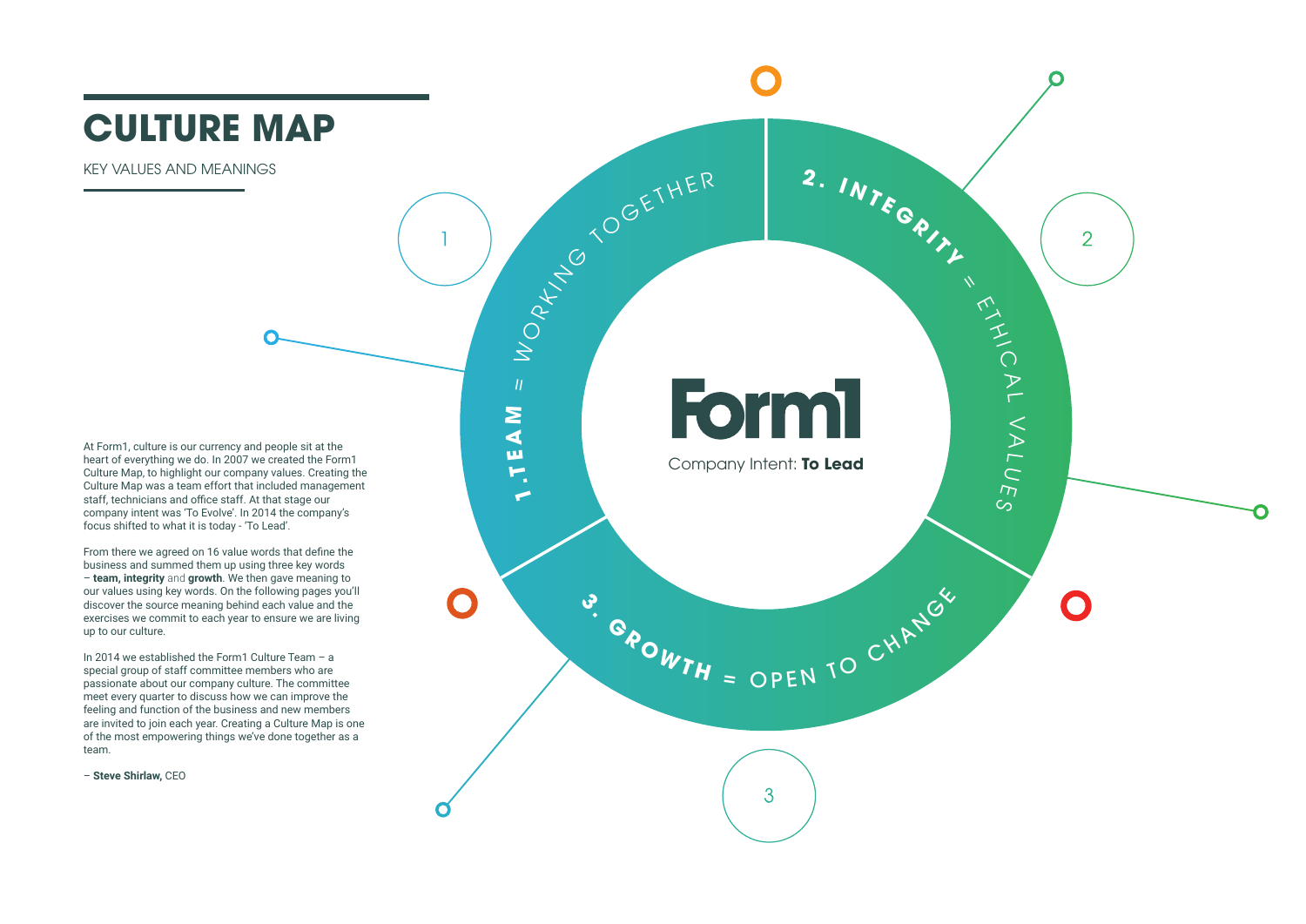**1 .T**

**E A** <u>Σ</u>

 $\eta$ 

 $\gtrsim$ 

O

R K N G

 $\triangleleft$ 

<sup>O</sup> <sup>G</sup> <sup>E</sup> <sup>T</sup> <sup>H</sup> <sup>E</sup> <sup>R</sup> **<sup>2</sup> . <sup>I</sup> <sup>N</sup> <sup>T</sup> <sup>E</sup> <sup>G</sup> <sup>R</sup> <sup>I</sup> <sup>T</sup> <sup>Y</sup>**



Company Intent: **To Lead**

**3**

3

**GAOWTH** = OPEN TO CHANGE

### **CULTURE MAP**

KEY VALUES AND MEANINGS

At Form1, culture is our currency and people sit at the heart of everything we do. In 2007 we created the Form1 Culture Map, to highlight our company values. Creating the Culture Map was a team effort that included management staff, technicians and office staff. At that stage our company intent was 'To Evolve'. In 2014 the company's focus shifted to what it is today - 'To Lead'.

From there we agreed on 16 value words that define the business and summed them up using three key words – **team, integrity** and **growth**. We then gave meaning to our values using key words. On the following pages you'll discover the source meaning behind each value and the exercises we commit to each year to ensure we are living up to our culture.

In 2014 we established the Form1 Culture Team – a special group of staff committee members who are passionate about our company culture. The committee meet every quarter to discuss how we can improve the feeling and function of the business and new members are invited to join each year. Creating a Culture Map is one of the most empowering things we've done together as a team.

– **Steve Shirlaw,** CEO

## **Form1**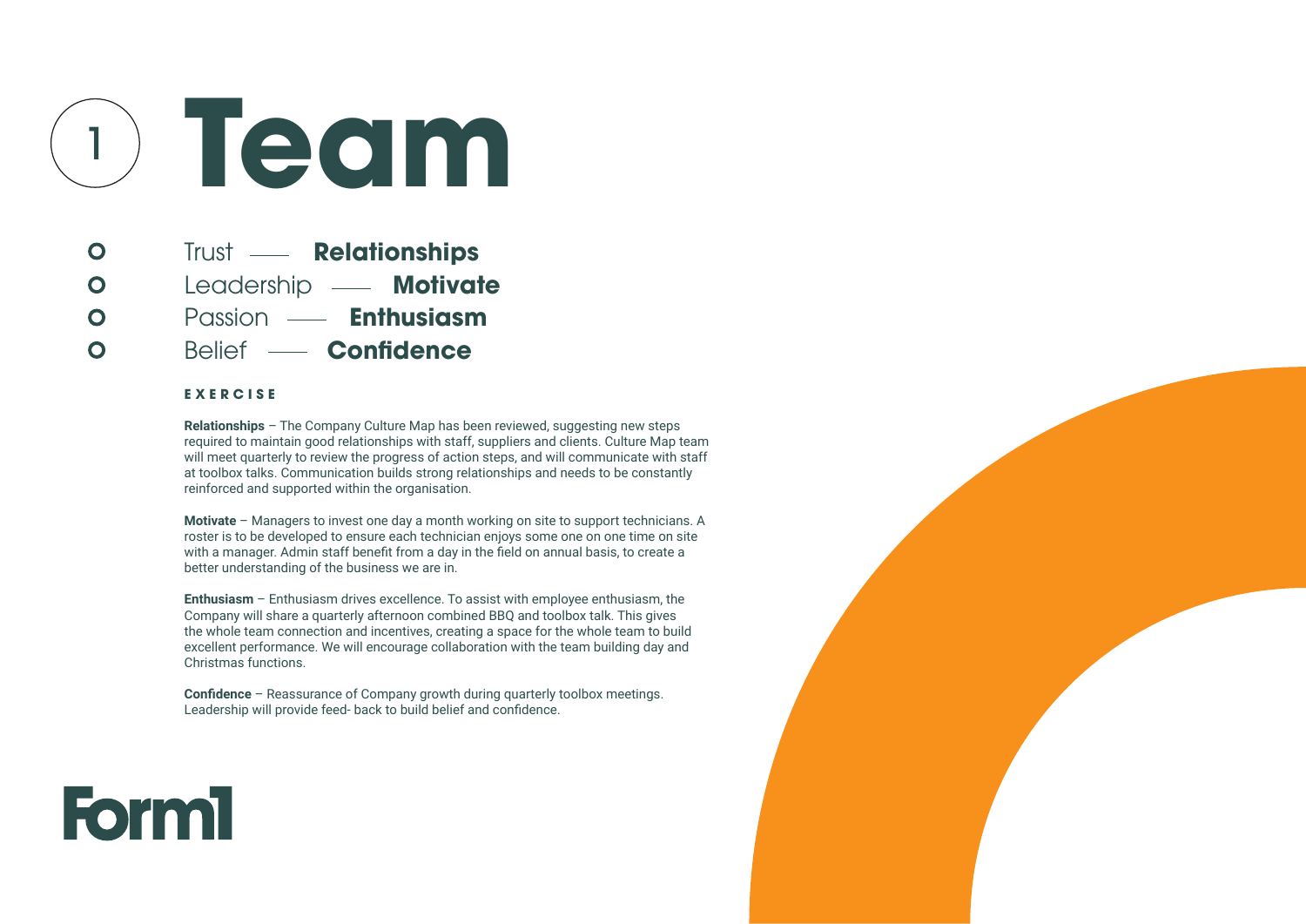**Trust — Relationships** Leadership **- Motivate** Passion **Enthusiasm** Belief **Confidence**

#### **E X E R C I S E**

 $\bullet$ 

 $\bullet$ 

 $\overline{\mathbf{O}}$ 

 $\bullet$ 

**Relationships** – The Company Culture Map has been reviewed, suggesting new steps required to maintain good relationships with staff, suppliers and clients. Culture Map team will meet quarterly to review the progress of action steps, and will communicate with staff at toolbox talks. Communication builds strong relationships and needs to be constantly reinforced and supported within the organisation.

**Motivate** – Managers to invest one day a month working on site to support technicians. A roster is to be developed to ensure each technician enjoys some one on one time on site with a manager. Admin staff benefit from a day in the field on annual basis, to create a better understanding of the business we are in.

**Enthusiasm** – Enthusiasm drives excellence. To assist with employee enthusiasm, the Company will share a quarterly afternoon combined BBQ and toolbox talk. This gives the whole team connection and incentives, creating a space for the whole team to build excellent performance. We will encourage collaboration with the team building day and Christmas functions.

**Confidence** – Reassurance of Company growth during quarterly toolbox meetings. Leadership will provide feed- back to build belief and confidence.





# <sup>1</sup> **Team**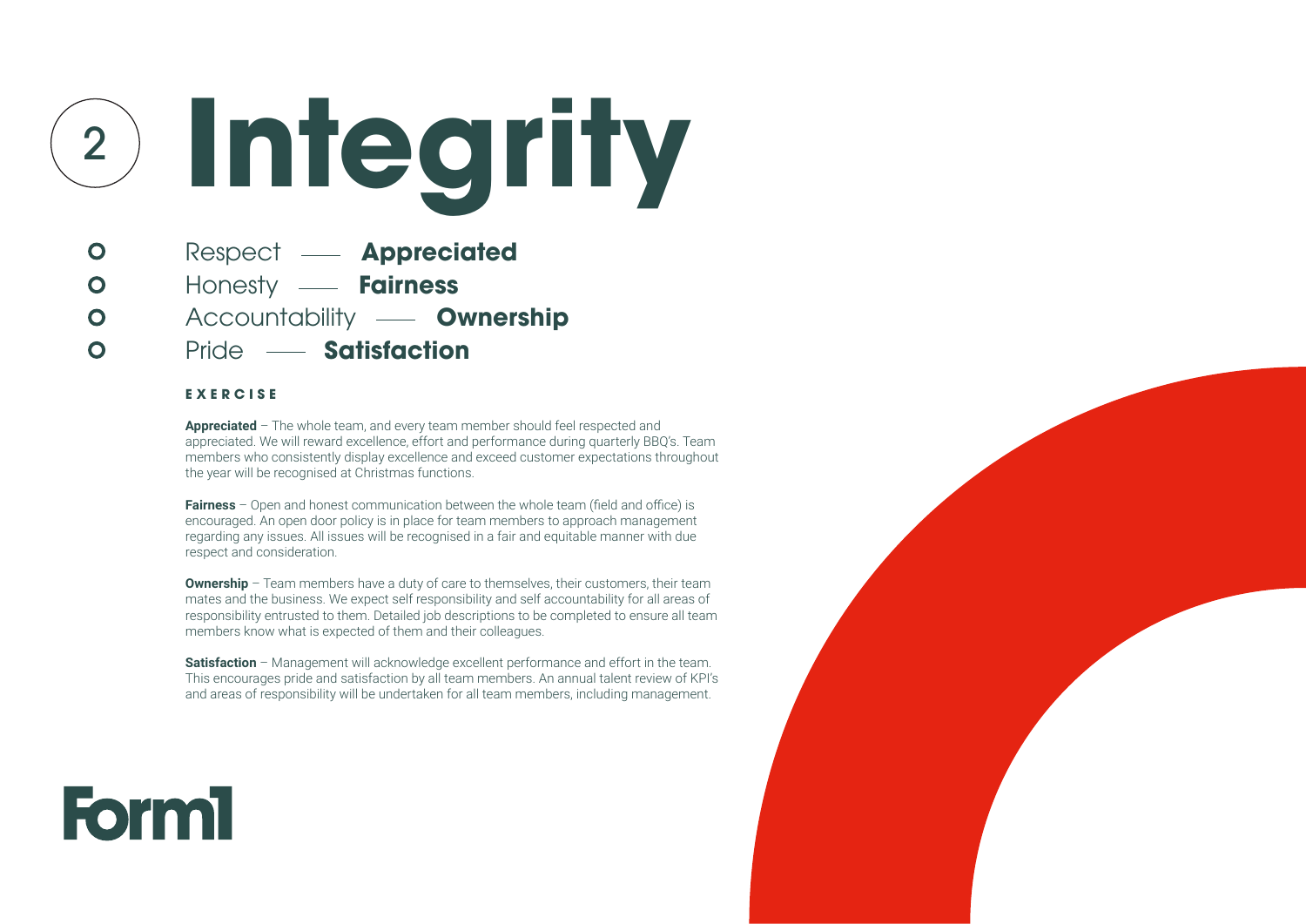#### **E X E R C I S E**

 $\bullet$ 

 $\bullet$ 

 $\bullet$ 

 $\bullet$ 

**Appreciated** – The whole team, and every team member should feel respected and appreciated. We will reward excellence, effort and performance during quarterly BBQ's. Team members who consistently display excellence and exceed customer expectations throughout the year will be recognised at Christmas functions.

**Ownership** – Team members have a duty of care to themselves, their customers, their team mates and the business. We expect self responsibility and self accountability for all areas of responsibility entrusted to them. Detailed job descriptions to be completed to ensure all team members know what is expected of them and their colleagues.

**Fairness** – Open and honest communication between the whole team (field and office) is encouraged. An open door policy is in place for team members to approach management regarding any issues. All issues will be recognised in a fair and equitable manner with due respect and consideration.

**Satisfaction** – Management will acknowledge excellent performance and effort in the team. This encourages pride and satisfaction by all team members. An annual talent review of KPI's and areas of responsibility will be undertaken for all team members, including management.





<sup>2</sup> **Integrity**

- Respect **Appreciated**
	- Honesty  **Fairness**
	- Accountability  **Ownership**
	- Pride  **Satisfaction**